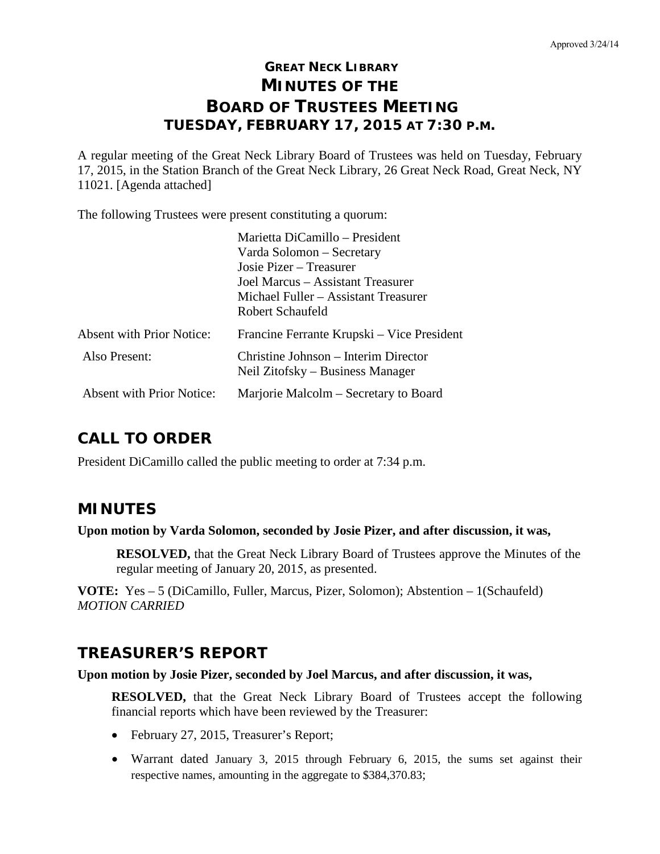# **GREAT NECK LIBRARY MINUTES OF THE BOARD OF TRUSTEES MEETING TUESDAY, FEBRUARY 17, 2015 AT 7:30 P.M.**

A regular meeting of the Great Neck Library Board of Trustees was held on Tuesday, February 17, 2015, in the Station Branch of the Great Neck Library, 26 Great Neck Road, Great Neck, NY 11021. [Agenda attached]

The following Trustees were present constituting a quorum:

|                                  | Marietta DiCamillo - President                                           |
|----------------------------------|--------------------------------------------------------------------------|
|                                  | Varda Solomon – Secretary                                                |
|                                  | Josie Pizer – Treasurer                                                  |
|                                  | Joel Marcus – Assistant Treasurer                                        |
|                                  | Michael Fuller – Assistant Treasurer                                     |
|                                  | Robert Schaufeld                                                         |
| <b>Absent with Prior Notice:</b> | Francine Ferrante Krupski – Vice President                               |
| Also Present:                    | Christine Johnson – Interim Director<br>Neil Zitofsky – Business Manager |
| Absent with Prior Notice:        | Marjorie Malcolm – Secretary to Board                                    |

# **CALL TO ORDER**

President DiCamillo called the public meeting to order at 7:34 p.m.

## **MINUTES**

## **Upon motion by Varda Solomon, seconded by Josie Pizer, and after discussion, it was,**

**RESOLVED,** that the Great Neck Library Board of Trustees approve the Minutes of the regular meeting of January 20, 2015, as presented.

**VOTE:** Yes – 5 (DiCamillo, Fuller, Marcus, Pizer, Solomon); Abstention – 1(Schaufeld) *MOTION CARRIED*

# **TREASURER'S REPORT**

**Upon motion by Josie Pizer, seconded by Joel Marcus, and after discussion, it was,**

**RESOLVED,** that the Great Neck Library Board of Trustees accept the following financial reports which have been reviewed by the Treasurer:

- February 27, 2015, Treasurer's Report;
- Warrant dated January 3, 2015 through February 6, 2015, the sums set against their respective names, amounting in the aggregate to \$384,370.83;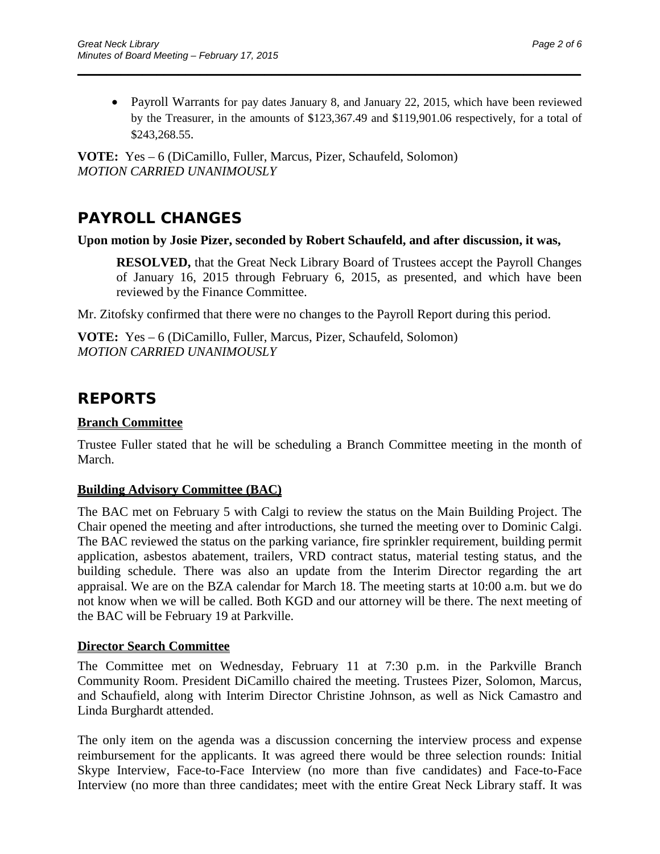• Payroll Warrants for pay dates January 8, and January 22, 2015, which have been reviewed by the Treasurer, in the amounts of \$123,367.49 and \$119,901.06 respectively, for a total of \$243,268.55.

\_\_\_\_\_\_\_\_\_\_\_\_\_\_\_\_\_\_\_\_\_\_\_\_\_\_\_\_\_\_\_\_\_\_\_\_\_\_\_\_\_\_\_\_\_\_\_\_\_\_\_\_\_\_\_\_\_\_\_\_\_\_\_\_\_\_\_\_\_\_

**VOTE:** Yes – 6 (DiCamillo, Fuller, Marcus, Pizer, Schaufeld, Solomon) *MOTION CARRIED UNANIMOUSLY*

# **PAYROLL CHANGES**

### **Upon motion by Josie Pizer, seconded by Robert Schaufeld, and after discussion, it was,**

**RESOLVED,** that the Great Neck Library Board of Trustees accept the Payroll Changes of January 16, 2015 through February 6, 2015, as presented, and which have been reviewed by the Finance Committee.

Mr. Zitofsky confirmed that there were no changes to the Payroll Report during this period.

**VOTE:** Yes – 6 (DiCamillo, Fuller, Marcus, Pizer, Schaufeld, Solomon) *MOTION CARRIED UNANIMOUSLY*

# **REPORTS**

## **Branch Committee**

Trustee Fuller stated that he will be scheduling a Branch Committee meeting in the month of March.

## **Building Advisory Committee (BAC)**

The BAC met on February 5 with Calgi to review the status on the Main Building Project. The Chair opened the meeting and after introductions, she turned the meeting over to Dominic Calgi. The BAC reviewed the status on the parking variance, fire sprinkler requirement, building permit application, asbestos abatement, trailers, VRD contract status, material testing status, and the building schedule. There was also an update from the Interim Director regarding the art appraisal. We are on the BZA calendar for March 18. The meeting starts at 10:00 a.m. but we do not know when we will be called. Both KGD and our attorney will be there. The next meeting of the BAC will be February 19 at Parkville.

## **Director Search Committee**

The Committee met on Wednesday, February 11 at 7:30 p.m. in the Parkville Branch Community Room. President DiCamillo chaired the meeting. Trustees Pizer, Solomon, Marcus, and Schaufield, along with Interim Director Christine Johnson, as well as Nick Camastro and Linda Burghardt attended.

The only item on the agenda was a discussion concerning the interview process and expense reimbursement for the applicants. It was agreed there would be three selection rounds: Initial Skype Interview, Face-to-Face Interview (no more than five candidates) and Face-to-Face Interview (no more than three candidates; meet with the entire Great Neck Library staff. It was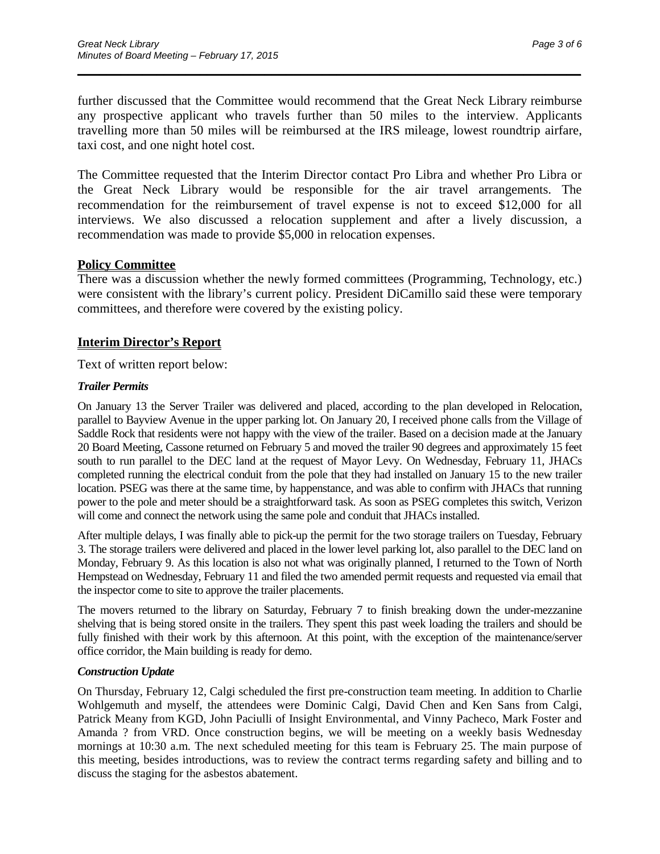further discussed that the Committee would recommend that the Great Neck Library reimburse any prospective applicant who travels further than 50 miles to the interview. Applicants travelling more than 50 miles will be reimbursed at the IRS mileage, lowest roundtrip airfare, taxi cost, and one night hotel cost.

\_\_\_\_\_\_\_\_\_\_\_\_\_\_\_\_\_\_\_\_\_\_\_\_\_\_\_\_\_\_\_\_\_\_\_\_\_\_\_\_\_\_\_\_\_\_\_\_\_\_\_\_\_\_\_\_\_\_\_\_\_\_\_\_\_\_\_\_\_\_

The Committee requested that the Interim Director contact Pro Libra and whether Pro Libra or the Great Neck Library would be responsible for the air travel arrangements. The recommendation for the reimbursement of travel expense is not to exceed \$12,000 for all interviews. We also discussed a relocation supplement and after a lively discussion, a recommendation was made to provide \$5,000 in relocation expenses.

### **Policy Committee**

There was a discussion whether the newly formed committees (Programming, Technology, etc.) were consistent with the library's current policy. President DiCamillo said these were temporary committees, and therefore were covered by the existing policy.

### **Interim Director's Report**

Text of written report below:

#### *Trailer Permits*

On January 13 the Server Trailer was delivered and placed, according to the plan developed in Relocation, parallel to Bayview Avenue in the upper parking lot. On January 20, I received phone calls from the Village of Saddle Rock that residents were not happy with the view of the trailer. Based on a decision made at the January 20 Board Meeting, Cassone returned on February 5 and moved the trailer 90 degrees and approximately 15 feet south to run parallel to the DEC land at the request of Mayor Levy. On Wednesday, February 11, JHACs completed running the electrical conduit from the pole that they had installed on January 15 to the new trailer location. PSEG was there at the same time, by happenstance, and was able to confirm with JHACs that running power to the pole and meter should be a straightforward task. As soon as PSEG completes this switch, Verizon will come and connect the network using the same pole and conduit that JHACs installed.

After multiple delays, I was finally able to pick-up the permit for the two storage trailers on Tuesday, February 3. The storage trailers were delivered and placed in the lower level parking lot, also parallel to the DEC land on Monday, February 9. As this location is also not what was originally planned, I returned to the Town of North Hempstead on Wednesday, February 11 and filed the two amended permit requests and requested via email that the inspector come to site to approve the trailer placements.

The movers returned to the library on Saturday, February 7 to finish breaking down the under-mezzanine shelving that is being stored onsite in the trailers. They spent this past week loading the trailers and should be fully finished with their work by this afternoon. At this point, with the exception of the maintenance/server office corridor, the Main building is ready for demo.

#### *Construction Update*

On Thursday, February 12, Calgi scheduled the first pre-construction team meeting. In addition to Charlie Wohlgemuth and myself, the attendees were Dominic Calgi, David Chen and Ken Sans from Calgi, Patrick Meany from KGD, John Paciulli of Insight Environmental, and Vinny Pacheco, Mark Foster and Amanda ? from VRD. Once construction begins, we will be meeting on a weekly basis Wednesday mornings at 10:30 a.m. The next scheduled meeting for this team is February 25. The main purpose of this meeting, besides introductions, was to review the contract terms regarding safety and billing and to discuss the staging for the asbestos abatement.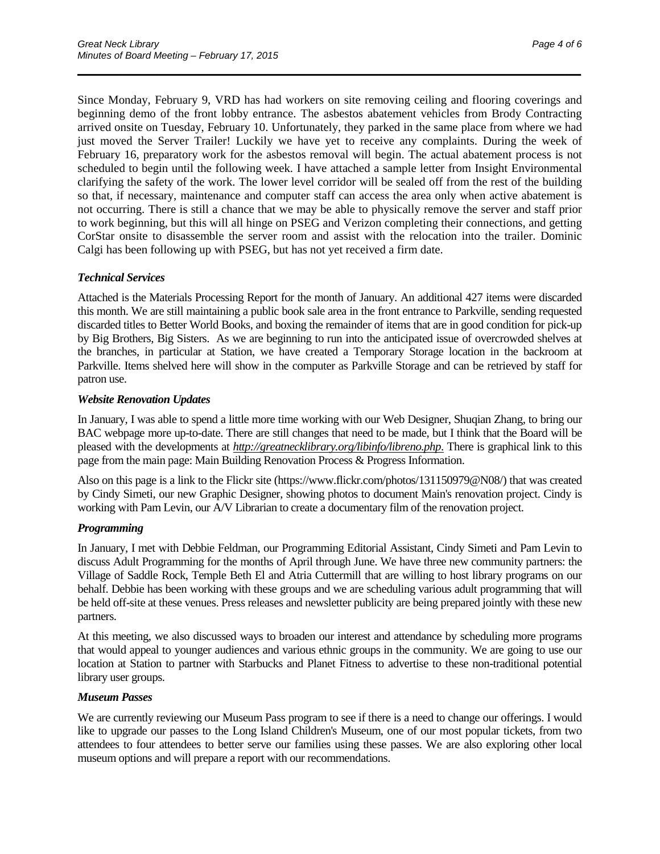Since Monday, February 9, VRD has had workers on site removing ceiling and flooring coverings and beginning demo of the front lobby entrance. The asbestos abatement vehicles from Brody Contracting arrived onsite on Tuesday, February 10. Unfortunately, they parked in the same place from where we had just moved the Server Trailer! Luckily we have yet to receive any complaints. During the week of February 16, preparatory work for the asbestos removal will begin. The actual abatement process is not scheduled to begin until the following week. I have attached a sample letter from Insight Environmental clarifying the safety of the work. The lower level corridor will be sealed off from the rest of the building so that, if necessary, maintenance and computer staff can access the area only when active abatement is not occurring. There is still a chance that we may be able to physically remove the server and staff prior to work beginning, but this will all hinge on PSEG and Verizon completing their connections, and getting CorStar onsite to disassemble the server room and assist with the relocation into the trailer. Dominic Calgi has been following up with PSEG, but has not yet received a firm date.

\_\_\_\_\_\_\_\_\_\_\_\_\_\_\_\_\_\_\_\_\_\_\_\_\_\_\_\_\_\_\_\_\_\_\_\_\_\_\_\_\_\_\_\_\_\_\_\_\_\_\_\_\_\_\_\_\_\_\_\_\_\_\_\_\_\_\_\_\_\_

#### *Technical Services*

Attached is the Materials Processing Report for the month of January. An additional 427 items were discarded this month. We are still maintaining a public book sale area in the front entrance to Parkville, sending requested discarded titles to Better World Books, and boxing the remainder of items that are in good condition for pick-up by Big Brothers, Big Sisters. As we are beginning to run into the anticipated issue of overcrowded shelves at the branches, in particular at Station, we have created a Temporary Storage location in the backroom at Parkville. Items shelved here will show in the computer as Parkville Storage and can be retrieved by staff for patron use.

#### *Website Renovation Updates*

In January, I was able to spend a little more time working with our Web Designer, Shuqian Zhang, to bring our BAC webpage more up-to-date. There are still changes that need to be made, but I think that the Board will be pleased with the developments at *http://greatnecklibrary.org/libinfo/libreno.php*. There is graphical link to this page from the main page: Main Building Renovation Process & Progress Information.

Also on this page is a link to the Flickr site (https://www.flickr.com/photos/131150979@N08/) that was created by Cindy Simeti, our new Graphic Designer, showing photos to document Main's renovation project. Cindy is working with Pam Levin, our A/V Librarian to create a documentary film of the renovation project.

#### *Programming*

In January, I met with Debbie Feldman, our Programming Editorial Assistant, Cindy Simeti and Pam Levin to discuss Adult Programming for the months of April through June. We have three new community partners: the Village of Saddle Rock, Temple Beth El and Atria Cuttermill that are willing to host library programs on our behalf. Debbie has been working with these groups and we are scheduling various adult programming that will be held off-site at these venues. Press releases and newsletter publicity are being prepared jointly with these new partners.

At this meeting, we also discussed ways to broaden our interest and attendance by scheduling more programs that would appeal to younger audiences and various ethnic groups in the community. We are going to use our location at Station to partner with Starbucks and Planet Fitness to advertise to these non-traditional potential library user groups.

#### *Museum Passes*

We are currently reviewing our Museum Pass program to see if there is a need to change our offerings. I would like to upgrade our passes to the Long Island Children's Museum, one of our most popular tickets, from two attendees to four attendees to better serve our families using these passes. We are also exploring other local museum options and will prepare a report with our recommendations.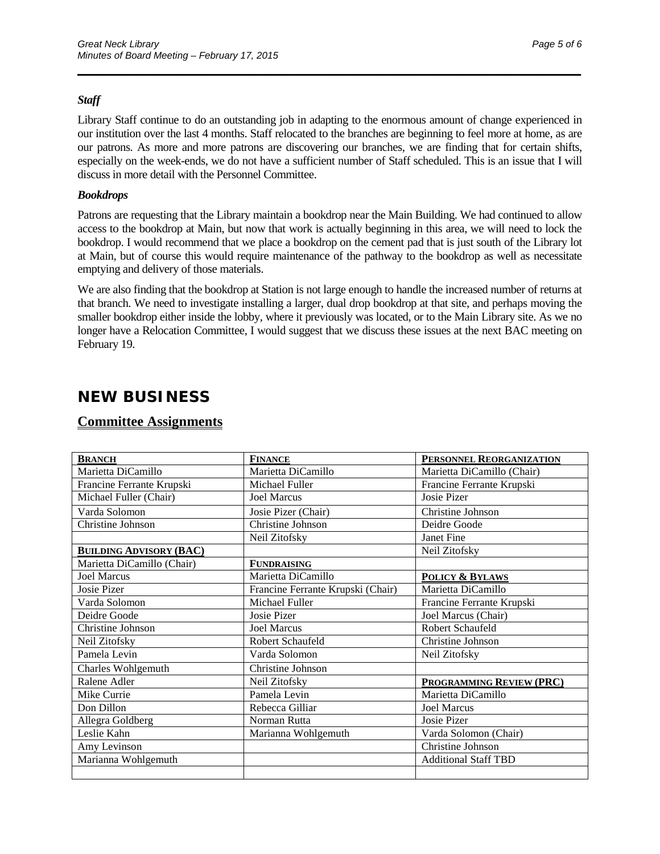#### *Staff*

Library Staff continue to do an outstanding job in adapting to the enormous amount of change experienced in our institution over the last 4 months. Staff relocated to the branches are beginning to feel more at home, as are our patrons. As more and more patrons are discovering our branches, we are finding that for certain shifts, especially on the week-ends, we do not have a sufficient number of Staff scheduled. This is an issue that I will discuss in more detail with the Personnel Committee.

\_\_\_\_\_\_\_\_\_\_\_\_\_\_\_\_\_\_\_\_\_\_\_\_\_\_\_\_\_\_\_\_\_\_\_\_\_\_\_\_\_\_\_\_\_\_\_\_\_\_\_\_\_\_\_\_\_\_\_\_\_\_\_\_\_\_\_\_\_\_

#### *Bookdrops*

Patrons are requesting that the Library maintain a bookdrop near the Main Building. We had continued to allow access to the bookdrop at Main, but now that work is actually beginning in this area, we will need to lock the bookdrop. I would recommend that we place a bookdrop on the cement pad that is just south of the Library lot at Main, but of course this would require maintenance of the pathway to the bookdrop as well as necessitate emptying and delivery of those materials.

We are also finding that the bookdrop at Station is not large enough to handle the increased number of returns at that branch. We need to investigate installing a larger, dual drop bookdrop at that site, and perhaps moving the smaller bookdrop either inside the lobby, where it previously was located, or to the Main Library site. As we no longer have a Relocation Committee, I would suggest that we discuss these issues at the next BAC meeting on February 19.

# **NEW BUSINESS**

### **Committee Assignments**

| <b>BRANCH</b>                  | <b>FINANCE</b>                    | PERSONNEL REORGANIZATION    |
|--------------------------------|-----------------------------------|-----------------------------|
| Marietta DiCamillo             | Marietta DiCamillo                | Marietta DiCamillo (Chair)  |
| Francine Ferrante Krupski      | Michael Fuller                    | Francine Ferrante Krupski   |
| Michael Fuller (Chair)         | <b>Joel Marcus</b>                | Josie Pizer                 |
| Varda Solomon                  | Josie Pizer (Chair)               | Christine Johnson           |
| Christine Johnson              | Christine Johnson                 | Deidre Goode                |
|                                | Neil Zitofsky                     | Janet Fine                  |
| <b>BUILDING ADVISORY (BAC)</b> |                                   | Neil Zitofsky               |
| Marietta DiCamillo (Chair)     | <b>FUNDRAISING</b>                |                             |
| <b>Joel Marcus</b>             | Marietta DiCamillo                | <b>POLICY &amp; BYLAWS</b>  |
| Josie Pizer                    | Francine Ferrante Krupski (Chair) | Marietta DiCamillo          |
| Varda Solomon                  | Michael Fuller                    | Francine Ferrante Krupski   |
| Deidre Goode                   | Josie Pizer                       | Joel Marcus (Chair)         |
| Christine Johnson              | <b>Joel Marcus</b>                | Robert Schaufeld            |
| Neil Zitofsky                  | Robert Schaufeld                  | Christine Johnson           |
| Pamela Levin                   | Varda Solomon                     | Neil Zitofsky               |
| Charles Wohlgemuth             | Christine Johnson                 |                             |
| Ralene Adler                   | Neil Zitofsky                     | PROGRAMMING REVIEW (PRC)    |
| Mike Currie                    | Pamela Levin                      | Marietta DiCamillo          |
| Don Dillon                     | Rebecca Gilliar                   | <b>Joel Marcus</b>          |
| Allegra Goldberg               | Norman Rutta                      | Josie Pizer                 |
| Leslie Kahn                    | Marianna Wohlgemuth               | Varda Solomon (Chair)       |
| Amy Levinson                   |                                   | Christine Johnson           |
| Marianna Wohlgemuth            |                                   | <b>Additional Staff TBD</b> |
|                                |                                   |                             |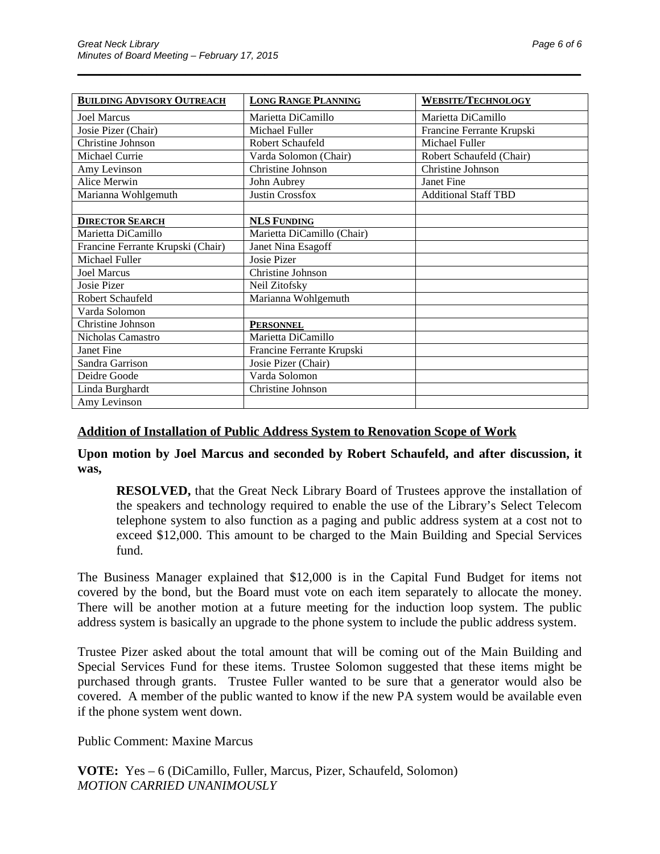| <b>BUILDING ADVISORY OUTREACH</b> | <b>LONG RANGE PLANNING</b> | <b>WEBSITE/TECHNOLOGY</b>   |
|-----------------------------------|----------------------------|-----------------------------|
| <b>Joel Marcus</b>                | Marietta DiCamillo         | Marietta DiCamillo          |
| Josie Pizer (Chair)               | Michael Fuller             | Francine Ferrante Krupski   |
| Christine Johnson                 | Robert Schaufeld           | Michael Fuller              |
| Michael Currie                    | Varda Solomon (Chair)      | Robert Schaufeld (Chair)    |
| Amy Levinson                      | Christine Johnson          | Christine Johnson           |
| Alice Merwin                      | John Aubrey                | Janet Fine                  |
| Marianna Wohlgemuth               | <b>Justin Crossfox</b>     | <b>Additional Staff TBD</b> |
|                                   |                            |                             |
| <b>DIRECTOR SEARCH</b>            | <b>NLS FUNDING</b>         |                             |
| Marietta DiCamillo                | Marietta DiCamillo (Chair) |                             |
| Francine Ferrante Krupski (Chair) | Janet Nina Esagoff         |                             |
| Michael Fuller                    | Josie Pizer                |                             |
| <b>Joel Marcus</b>                | Christine Johnson          |                             |
| <b>Josie Pizer</b>                | Neil Zitofsky              |                             |
| Robert Schaufeld                  | Marianna Wohlgemuth        |                             |
| Varda Solomon                     |                            |                             |
| Christine Johnson                 | <b>PERSONNEL</b>           |                             |
| Nicholas Camastro                 | Marietta DiCamillo         |                             |
| Janet Fine                        | Francine Ferrante Krupski  |                             |
| Sandra Garrison                   | Josie Pizer (Chair)        |                             |
| Deidre Goode                      | Varda Solomon              |                             |
| Linda Burghardt                   | Christine Johnson          |                             |
| Amy Levinson                      |                            |                             |

\_\_\_\_\_\_\_\_\_\_\_\_\_\_\_\_\_\_\_\_\_\_\_\_\_\_\_\_\_\_\_\_\_\_\_\_\_\_\_\_\_\_\_\_\_\_\_\_\_\_\_\_\_\_\_\_\_\_\_\_\_\_\_\_\_\_\_\_\_\_

### **Addition of Installation of Public Address System to Renovation Scope of Work**

**Upon motion by Joel Marcus and seconded by Robert Schaufeld, and after discussion, it was,**

**RESOLVED,** that the Great Neck Library Board of Trustees approve the installation of the speakers and technology required to enable the use of the Library's Select Telecom telephone system to also function as a paging and public address system at a cost not to exceed \$12,000. This amount to be charged to the Main Building and Special Services fund.

The Business Manager explained that \$12,000 is in the Capital Fund Budget for items not covered by the bond, but the Board must vote on each item separately to allocate the money. There will be another motion at a future meeting for the induction loop system. The public address system is basically an upgrade to the phone system to include the public address system.

Trustee Pizer asked about the total amount that will be coming out of the Main Building and Special Services Fund for these items. Trustee Solomon suggested that these items might be purchased through grants. Trustee Fuller wanted to be sure that a generator would also be covered. A member of the public wanted to know if the new PA system would be available even if the phone system went down.

Public Comment: Maxine Marcus

**VOTE:** Yes – 6 (DiCamillo, Fuller, Marcus, Pizer, Schaufeld, Solomon) *MOTION CARRIED UNANIMOUSLY*